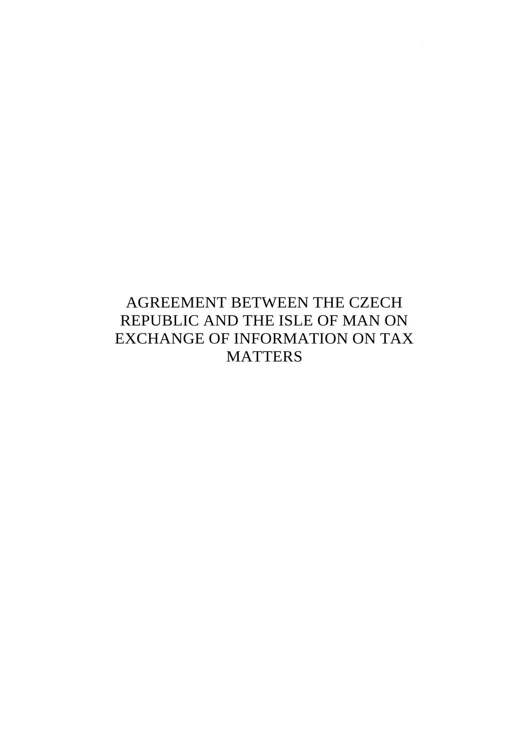# AGREEMENT BETWEEN THE CZECH REPUBLIC AND THE ISLE OF MAN ON EXCHANGE OF INFORMATION ON TAX **MATTERS**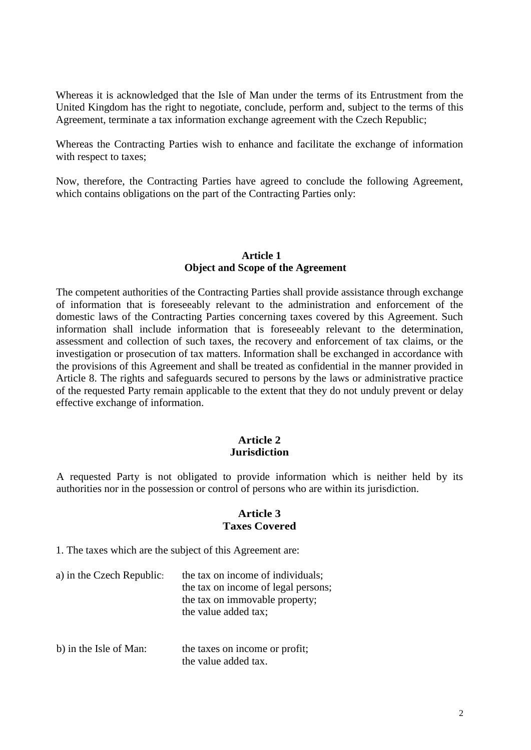Whereas it is acknowledged that the Isle of Man under the terms of its Entrustment from the United Kingdom has the right to negotiate, conclude, perform and, subject to the terms of this Agreement, terminate a tax information exchange agreement with the Czech Republic;

Whereas the Contracting Parties wish to enhance and facilitate the exchange of information with respect to taxes;

Now, therefore, the Contracting Parties have agreed to conclude the following Agreement, which contains obligations on the part of the Contracting Parties only:

#### **Article 1 Object and Scope of the Agreement**

The competent authorities of the Contracting Parties shall provide assistance through exchange of information that is foreseeably relevant to the administration and enforcement of the domestic laws of the Contracting Parties concerning taxes covered by this Agreement. Such information shall include information that is foreseeably relevant to the determination, assessment and collection of such taxes, the recovery and enforcement of tax claims, or the investigation or prosecution of tax matters. Information shall be exchanged in accordance with the provisions of this Agreement and shall be treated as confidential in the manner provided in Article 8. The rights and safeguards secured to persons by the laws or administrative practice of the requested Party remain applicable to the extent that they do not unduly prevent or delay effective exchange of information.

#### **Article 2 Jurisdiction**

A requested Party is not obligated to provide information which is neither held by its authorities nor in the possession or control of persons who are within its jurisdiction.

#### **Article 3 Taxes Covered**

1. The taxes which are the subject of this Agreement are:

- a) in the Czech Republic: the tax on income of individuals; the tax on income of legal persons; the tax on immovable property; the value added tax;
- b) in the Isle of Man: the taxes on income or profit; the value added tax.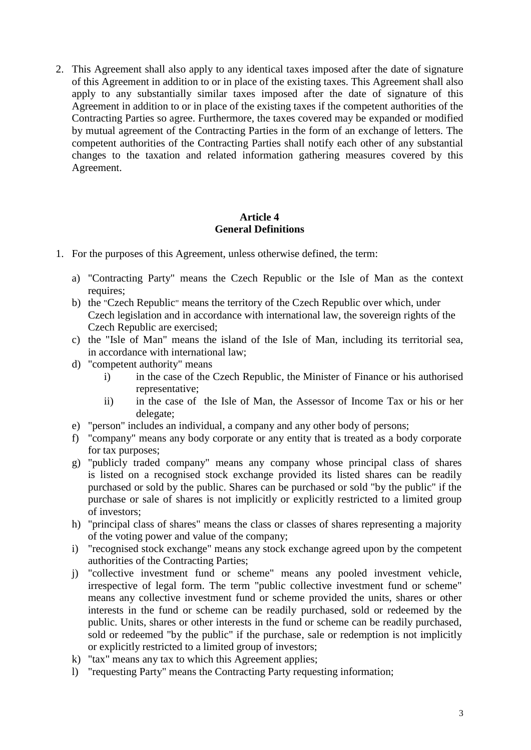2. This Agreement shall also apply to any identical taxes imposed after the date of signature of this Agreement in addition to or in place of the existing taxes. This Agreement shall also apply to any substantially similar taxes imposed after the date of signature of this Agreement in addition to or in place of the existing taxes if the competent authorities of the Contracting Parties so agree. Furthermore, the taxes covered may be expanded or modified by mutual agreement of the Contracting Parties in the form of an exchange of letters. The competent authorities of the Contracting Parties shall notify each other of any substantial changes to the taxation and related information gathering measures covered by this Agreement.

# **Article 4 General Definitions**

- 1. For the purposes of this Agreement, unless otherwise defined, the term:
	- a) "Contracting Party" means the Czech Republic or the Isle of Man as the context requires;
	- b) the "Czech Republic" means the territory of the Czech Republic over which, under Czech legislation and in accordance with international law, the sovereign rights of the Czech Republic are exercised;
	- c) the "Isle of Man" means the island of the Isle of Man, including its territorial sea, in accordance with international law;
	- d) "competent authority" means
		- i) in the case of the Czech Republic, the Minister of Finance or his authorised representative;
		- ii) in the case of the Isle of Man, the Assessor of Income Tax or his or her delegate;
	- e) "person" includes an individual, a company and any other body of persons;
	- f) "company" means any body corporate or any entity that is treated as a body corporate for tax purposes;
	- g) "publicly traded company" means any company whose principal class of shares is listed on a recognised stock exchange provided its listed shares can be readily purchased or sold by the public. Shares can be purchased or sold "by the public" if the purchase or sale of shares is not implicitly or explicitly restricted to a limited group of investors;
	- h) "principal class of shares" means the class or classes of shares representing a majority of the voting power and value of the company;
	- i) "recognised stock exchange" means any stock exchange agreed upon by the competent authorities of the Contracting Parties;
	- j) "collective investment fund or scheme" means any pooled investment vehicle, irrespective of legal form. The term "public collective investment fund or scheme" means any collective investment fund or scheme provided the units, shares or other interests in the fund or scheme can be readily purchased, sold or redeemed by the public. Units, shares or other interests in the fund or scheme can be readily purchased, sold or redeemed "by the public" if the purchase, sale or redemption is not implicitly or explicitly restricted to a limited group of investors;
	- k) "tax" means any tax to which this Agreement applies;
	- l) "requesting Party" means the Contracting Party requesting information;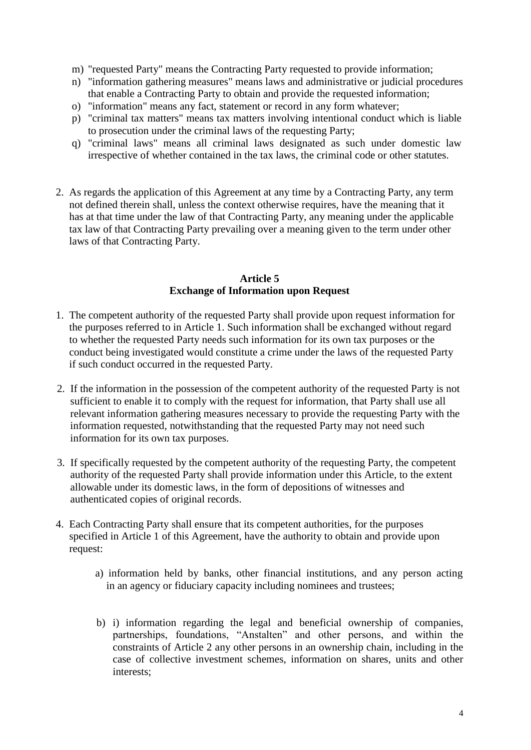- m) "requested Party" means the Contracting Party requested to provide information;
- n) "information gathering measures" means laws and administrative or judicial procedures that enable a Contracting Party to obtain and provide the requested information;
- o) "information" means any fact, statement or record in any form whatever;
- p) "criminal tax matters" means tax matters involving intentional conduct which is liable to prosecution under the criminal laws of the requesting Party;
- q) "criminal laws" means all criminal laws designated as such under domestic law irrespective of whether contained in the tax laws, the criminal code or other statutes.
- 2. As regards the application of this Agreement at any time by a Contracting Party, any term not defined therein shall, unless the context otherwise requires, have the meaning that it has at that time under the law of that Contracting Party, any meaning under the applicable tax law of that Contracting Party prevailing over a meaning given to the term under other laws of that Contracting Party.

## **Article 5 Exchange of Information upon Request**

- 1. The competent authority of the requested Party shall provide upon request information for the purposes referred to in Article 1. Such information shall be exchanged without regard to whether the requested Party needs such information for its own tax purposes or the conduct being investigated would constitute a crime under the laws of the requested Party if such conduct occurred in the requested Party.
- 2. If the information in the possession of the competent authority of the requested Party is not sufficient to enable it to comply with the request for information, that Party shall use all relevant information gathering measures necessary to provide the requesting Party with the information requested, notwithstanding that the requested Party may not need such information for its own tax purposes.
- 3. If specifically requested by the competent authority of the requesting Party, the competent authority of the requested Party shall provide information under this Article, to the extent allowable under its domestic laws, in the form of depositions of witnesses and authenticated copies of original records.
- 4. Each Contracting Party shall ensure that its competent authorities, for the purposes specified in Article 1 of this Agreement, have the authority to obtain and provide upon request:
	- a) information held by banks, other financial institutions, and any person acting in an agency or fiduciary capacity including nominees and trustees;
	- b) i) information regarding the legal and beneficial ownership of companies, partnerships, foundations, "Anstalten" and other persons, and within the constraints of Article 2 any other persons in an ownership chain, including in the case of collective investment schemes, information on shares, units and other interests;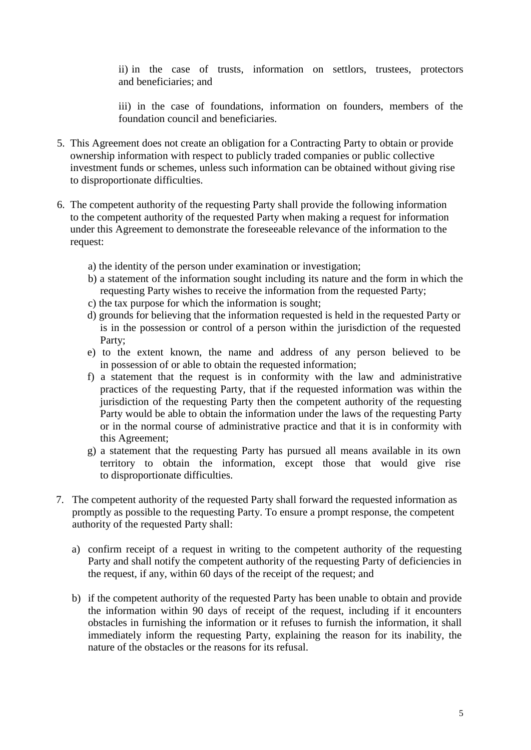ii) in the case of trusts, information on settlors, trustees, protectors and beneficiaries; and

iii) in the case of foundations, information on founders, members of the foundation council and beneficiaries.

- 5. This Agreement does not create an obligation for a Contracting Party to obtain or provide ownership information with respect to publicly traded companies or public collective investment funds or schemes, unless such information can be obtained without giving rise to disproportionate difficulties.
- 6. The competent authority of the requesting Party shall provide the following information to the competent authority of the requested Party when making a request for information under this Agreement to demonstrate the foreseeable relevance of the information to the request:
	- a) the identity of the person under examination or investigation;
	- b) a statement of the information sought including its nature and the form in which the requesting Party wishes to receive the information from the requested Party;
	- c) the tax purpose for which the information is sought;
	- d) grounds for believing that the information requested is held in the requested Party or is in the possession or control of a person within the jurisdiction of the requested Party;
	- e) to the extent known, the name and address of any person believed to be in possession of or able to obtain the requested information;
	- f) a statement that the request is in conformity with the law and administrative practices of the requesting Party, that if the requested information was within the jurisdiction of the requesting Party then the competent authority of the requesting Party would be able to obtain the information under the laws of the requesting Party or in the normal course of administrative practice and that it is in conformity with this Agreement;
	- g) a statement that the requesting Party has pursued all means available in its own territory to obtain the information, except those that would give rise to disproportionate difficulties.
- 7. The competent authority of the requested Party shall forward the requested information as promptly as possible to the requesting Party. To ensure a prompt response, the competent authority of the requested Party shall:
	- a) confirm receipt of a request in writing to the competent authority of the requesting Party and shall notify the competent authority of the requesting Party of deficiencies in the request, if any, within 60 days of the receipt of the request; and
	- b) if the competent authority of the requested Party has been unable to obtain and provide the information within 90 days of receipt of the request, including if it encounters obstacles in furnishing the information or it refuses to furnish the information, it shall immediately inform the requesting Party, explaining the reason for its inability, the nature of the obstacles or the reasons for its refusal.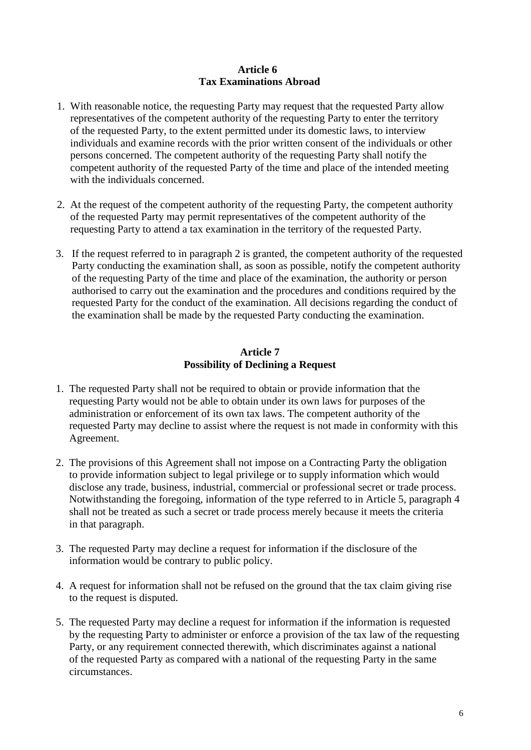## **Article 6 Tax Examinations Abroad**

- 1. With reasonable notice, the requesting Party may request that the requested Party allow representatives of the competent authority of the requesting Party to enter the territory of the requested Party, to the extent permitted under its domestic laws, to interview individuals and examine records with the prior written consent of the individuals or other persons concerned. The competent authority of the requesting Party shall notify the competent authority of the requested Party of the time and place of the intended meeting with the individuals concerned.
- 2. At the request of the competent authority of the requesting Party, the competent authority of the requested Party may permit representatives of the competent authority of the requesting Party to attend a tax examination in the territory of the requested Party.
- 3. If the request referred to in paragraph 2 is granted, the competent authority of the requested Party conducting the examination shall, as soon as possible, notify the competent authority of the requesting Party of the time and place of the examination, the authority or person authorised to carry out the examination and the procedures and conditions required by the requested Party for the conduct of the examination. All decisions regarding the conduct of the examination shall be made by the requested Party conducting the examination.

### **Article 7 Possibility of Declining a Request**

- 1. The requested Party shall not be required to obtain or provide information that the requesting Party would not be able to obtain under its own laws for purposes of the administration or enforcement of its own tax laws. The competent authority of the requested Party may decline to assist where the request is not made in conformity with this Agreement.
- 2. The provisions of this Agreement shall not impose on a Contracting Party the obligation to provide information subject to legal privilege or to supply information which would disclose any trade, business, industrial, commercial or professional secret or trade process. Notwithstanding the foregoing, information of the type referred to in Article 5, paragraph 4 shall not be treated as such a secret or trade process merely because it meets the criteria in that paragraph.
- 3. The requested Party may decline a request for information if the disclosure of the information would be contrary to public policy.
- 4. A request for information shall not be refused on the ground that the tax claim giving rise to the request is disputed.
- 5. The requested Party may decline a request for information if the information is requested by the requesting Party to administer or enforce a provision of the tax law of the requesting Party, or any requirement connected therewith, which discriminates against a national of the requested Party as compared with a national of the requesting Party in the same circumstances.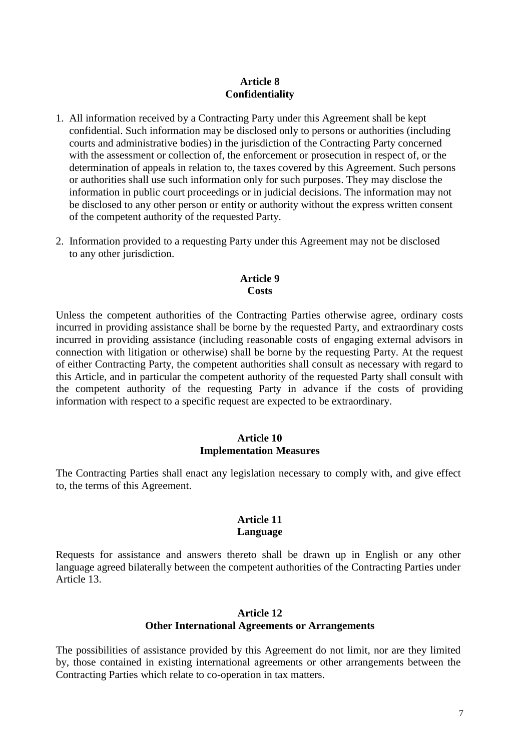#### **Article 8 Confidentiality**

- 1. All information received by a Contracting Party under this Agreement shall be kept confidential. Such information may be disclosed only to persons or authorities (including courts and administrative bodies) in the jurisdiction of the Contracting Party concerned with the assessment or collection of, the enforcement or prosecution in respect of, or the determination of appeals in relation to, the taxes covered by this Agreement. Such persons or authorities shall use such information only for such purposes. They may disclose the information in public court proceedings or in judicial decisions. The information may not be disclosed to any other person or entity or authority without the express written consent of the competent authority of the requested Party.
- 2. Information provided to a requesting Party under this Agreement may not be disclosed to any other jurisdiction.

## **Article 9 Costs**

Unless the competent authorities of the Contracting Parties otherwise agree, ordinary costs incurred in providing assistance shall be borne by the requested Party, and extraordinary costs incurred in providing assistance (including reasonable costs of engaging external advisors in connection with litigation or otherwise) shall be borne by the requesting Party. At the request of either Contracting Party, the competent authorities shall consult as necessary with regard to this Article, and in particular the competent authority of the requested Party shall consult with the competent authority of the requesting Party in advance if the costs of providing information with respect to a specific request are expected to be extraordinary.

#### **Article 10 Implementation Measures**

The Contracting Parties shall enact any legislation necessary to comply with, and give effect to, the terms of this Agreement.

## **Article 11 Language**

Requests for assistance and answers thereto shall be drawn up in English or any other language agreed bilaterally between the competent authorities of the Contracting Parties under Article 13.

#### **Article 12 Other International Agreements or Arrangements**

The possibilities of assistance provided by this Agreement do not limit, nor are they limited by, those contained in existing international agreements or other arrangements between the Contracting Parties which relate to co-operation in tax matters.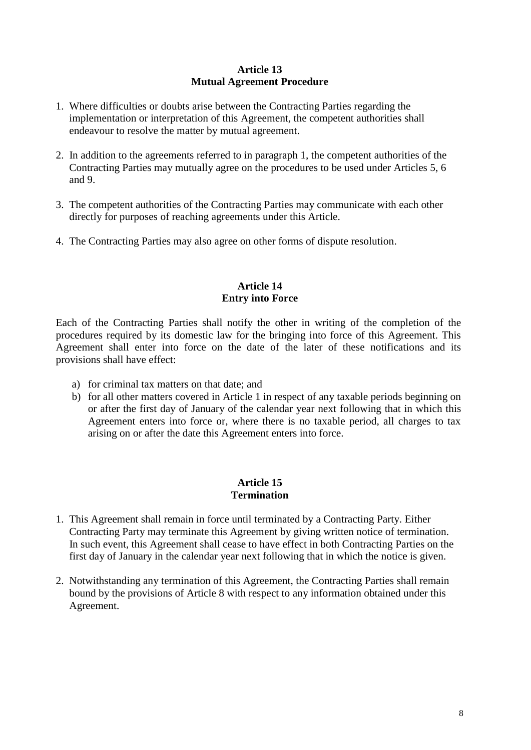## **Article 13 Mutual Agreement Procedure**

- 1. Where difficulties or doubts arise between the Contracting Parties regarding the implementation or interpretation of this Agreement, the competent authorities shall endeavour to resolve the matter by mutual agreement.
- 2. In addition to the agreements referred to in paragraph 1, the competent authorities of the Contracting Parties may mutually agree on the procedures to be used under Articles 5, 6 and 9.
- 3. The competent authorities of the Contracting Parties may communicate with each other directly for purposes of reaching agreements under this Article.
- 4. The Contracting Parties may also agree on other forms of dispute resolution.

#### **Article 14 Entry into Force**

Each of the Contracting Parties shall notify the other in writing of the completion of the procedures required by its domestic law for the bringing into force of this Agreement. This Agreement shall enter into force on the date of the later of these notifications and its provisions shall have effect:

- a) for criminal tax matters on that date; and
- b) for all other matters covered in Article 1 in respect of any taxable periods beginning on or after the first day of January of the calendar year next following that in which this Agreement enters into force or, where there is no taxable period, all charges to tax arising on or after the date this Agreement enters into force.

## **Article 15 Termination**

- 1. This Agreement shall remain in force until terminated by a Contracting Party. Either Contracting Party may terminate this Agreement by giving written notice of termination. In such event, this Agreement shall cease to have effect in both Contracting Parties on the first day of January in the calendar year next following that in which the notice is given.
- 2. Notwithstanding any termination of this Agreement, the Contracting Parties shall remain bound by the provisions of Article 8 with respect to any information obtained under this Agreement.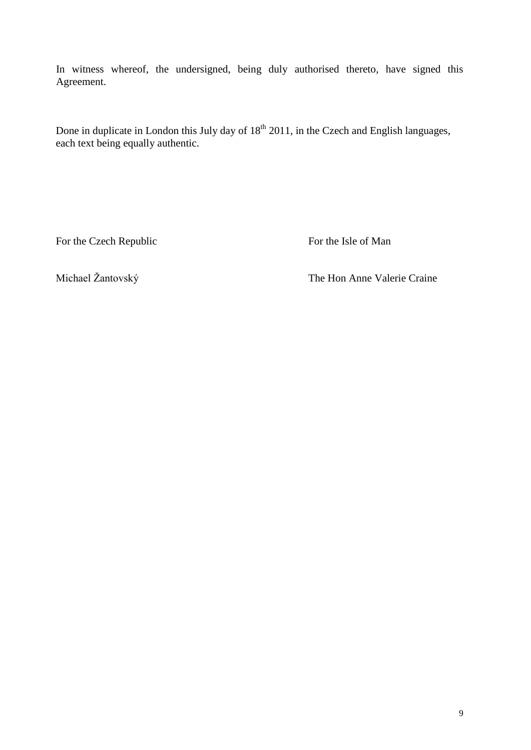In witness whereof, the undersigned, being duly authorised thereto, have signed this Agreement.

Done in duplicate in London this July day of  $18<sup>th</sup> 2011$ , in the Czech and English languages, each text being equally authentic.

For the Czech Republic For the Isle of Man

Michael Žantovský The Hon Anne Valerie Craine